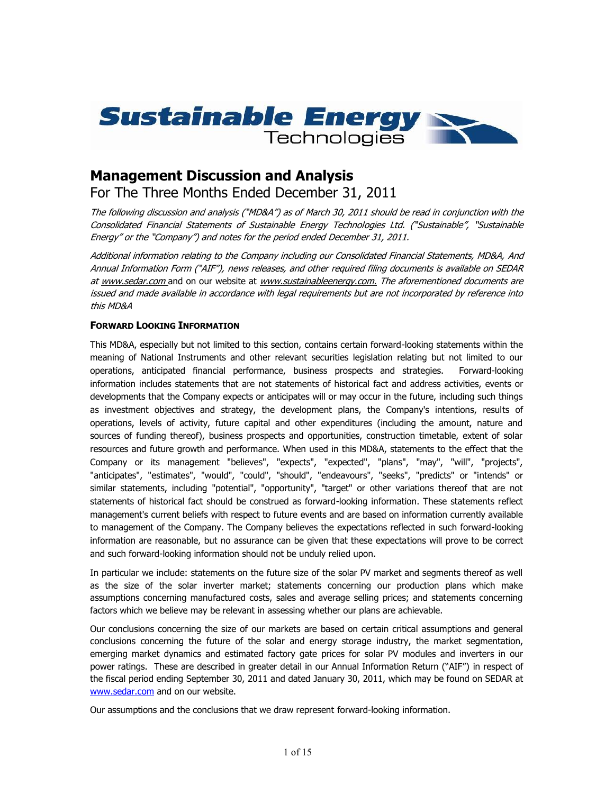

# **Management Discussion and Analysis**

For The Three Months Ended December 31, 2011

*The following discussion and analysis ("MD&A") as of March 30, 2011 should be read in conjunction with the Consolidated Financial Statements of Sustainable Energy Technologies Ltd. ("Sustainable", "Sustainable Energy" or the "Company") and notes for the period ended December 31, 2011.*

*Additional information relating to the Company including our Consolidated Financial Statements, MD&A, And Annual Information Form ("AIF"), news releases, and other required filing documents is available on SEDAR at www.sedar.com* and on our website at *www.sustainableenergy.com. The aforementioned documents are issued and made available in accordance with legal requirements but are not incorporated by reference into this MD&A*

# **FORWARD LOOKING INFORMATION**

This MD&A, especially but not limited to this section, contains certain forward-looking statements within the meaning of National Instruments and other relevant securities legislation relating but not limited to our operations, anticipated financial performance, business prospects and strategies. Forward-looking information includes statements that are not statements of historical fact and address activities, events or developments that the Company expects or anticipates will or may occur in the future, including such things as investment objectives and strategy, the development plans, the Company's intentions, results of operations, levels of activity, future capital and other expenditures (including the amount, nature and sources of funding thereof), business prospects and opportunities, construction timetable, extent of solar resources and future growth and performance. When used in this MD&A, statements to the effect that the Company or its management "believes", "expects", "expected", "plans", "may", "will", "projects", "anticipates", "estimates", "would", "could", "should", "endeavours", "seeks", "predicts" or "intends" or similar statements, including "potential", "opportunity", "target" or other variations thereof that are not statements of historical fact should be construed as forward-looking information. These statements reflect management's current beliefs with respect to future events and are based on information currently available to management of the Company. The Company believes the expectations reflected in such forward-looking information are reasonable, but no assurance can be given that these expectations will prove to be correct and such forward-looking information should not be unduly relied upon.

In particular we include: statements on the future size of the solar PV market and segments thereof as well as the size of the solar inverter market; statements concerning our production plans which make assumptions concerning manufactured costs, sales and average selling prices; and statements concerning factors which we believe may be relevant in assessing whether our plans are achievable.

Our conclusions concerning the size of our markets are based on certain critical assumptions and general conclusions concerning the future of the solar and energy storage industry, the market segmentation, emerging market dynamics and estimated factory gate prices for solar PV modules and inverters in our power ratings. These are described in greater detail in our Annual Information Return ("AIF") in respect of the fiscal period ending September 30, 2011 and dated January 30, 2011, which may be found on SEDAR at www.sedar.com and on our website.

Our assumptions and the conclusions that we draw represent forward-looking information.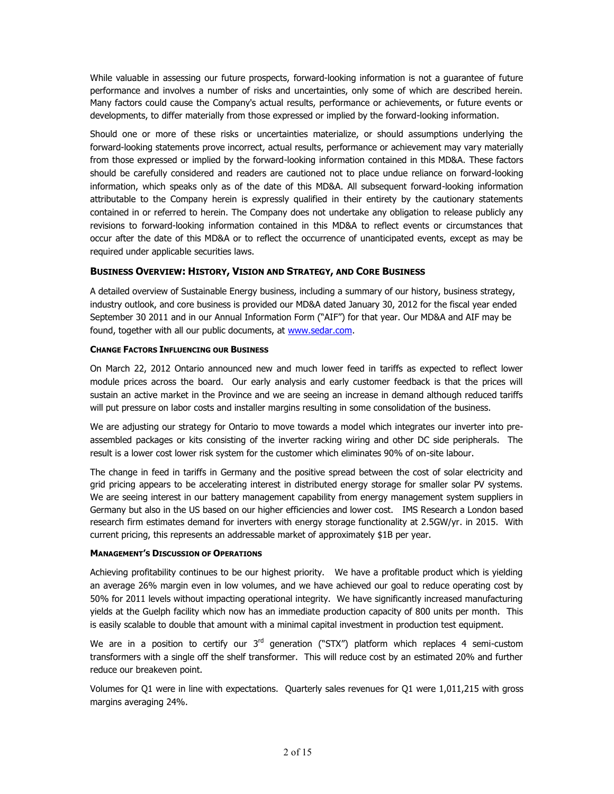While valuable in assessing our future prospects, forward-looking information is not a guarantee of future performance and involves a number of risks and uncertainties, only some of which are described herein. Many factors could cause the Company's actual results, performance or achievements, or future events or developments, to differ materially from those expressed or implied by the forward-looking information.

Should one or more of these risks or uncertainties materialize, or should assumptions underlying the forward-looking statements prove incorrect, actual results, performance or achievement may vary materially from those expressed or implied by the forward-looking information contained in this MD&A. These factors should be carefully considered and readers are cautioned not to place undue reliance on forward-looking information, which speaks only as of the date of this MD&A. All subsequent forward-looking information attributable to the Company herein is expressly qualified in their entirety by the cautionary statements contained in or referred to herein. The Company does not undertake any obligation to release publicly any revisions to forward-looking information contained in this MD&A to reflect events or circumstances that occur after the date of this MD&A or to reflect the occurrence of unanticipated events, except as may be required under applicable securities laws.

# **BUSINESS OVERVIEW: HISTORY, VISION AND STRATEGY, AND CORE BUSINESS**

A detailed overview of Sustainable Energy business, including a summary of our history, business strategy, industry outlook, and core business is provided our MD&A dated January 30, 2012 for the fiscal year ended September 30 2011 and in our Annual Information Form ("AIF") for that year. Our MD&A and AIF may be found, together with all our public documents, at www.sedar.com.

## **CHANGE FACTORS INFLUENCING OUR BUSINESS**

On March 22, 2012 Ontario announced new and much lower feed in tariffs as expected to reflect lower module prices across the board. Our early analysis and early customer feedback is that the prices will sustain an active market in the Province and we are seeing an increase in demand although reduced tariffs will put pressure on labor costs and installer margins resulting in some consolidation of the business.

We are adjusting our strategy for Ontario to move towards a model which integrates our inverter into pre assembled packages or kits consisting of the inverter racking wiring and other DC side peripherals. The result is a lower cost lower risk system for the customer which eliminates 90% of on-site labour.

The change in feed in tariffs in Germany and the positive spread between the cost of solar electricity and grid pricing appears to be accelerating interest in distributed energy storage for smaller solar PV systems. We are seeing interest in our battery management capability from energy management system suppliers in Germany but also in the US based on our higher efficiencies and lower cost. IMS Research a London based research firm estimates demand for inverters with energy storage functionality at 2.5GW/yr. in 2015. With current pricing, this represents an addressable market of approximately \$1B per year.

## **MANAGEMENT'S DISCUSSION OF OPERATIONS**

Achieving profitability continues to be our highest priority. We have a profitable product which is yielding an average 26% margin even in low volumes, and we have achieved our goal to reduce operating cost by 50% for 2011 levels without impacting operational integrity. We have significantly increased manufacturing yields at the Guelph facility which now has an immediate production capacity of 800 units per month. This is easily scalable to double that amount with a minimal capital investment in production test equipment.

We are in a position to certify our 3<sup>rd</sup> generation ("STX") platform which replaces 4 semi-custom transformers with a single off the shelf transformer. This will reduce cost by an estimated 20% and further reduce our breakeven point.

Volumes for Q1 were in line with expectations. Quarterly sales revenues for Q1 were 1,011,215 with gross margins averaging 24%.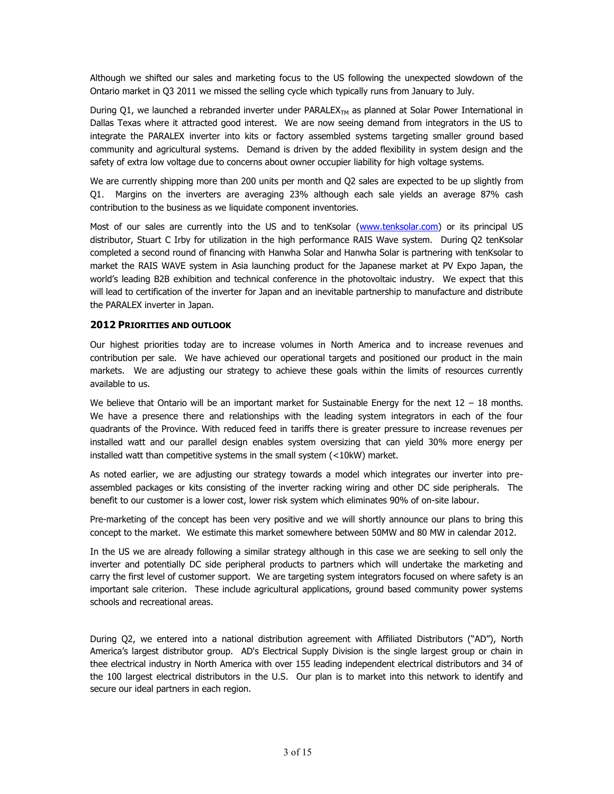Although we shifted our sales and marketing focus to the US following the unexpected slowdown of the Ontario market in Q3 2011 we missed the selling cycle which typically runs from January to July.

During Q1, we launched a rebranded inverter under PARALEX<sub>TM</sub> as planned at Solar Power International in Dallas Texas where it attracted good interest. We are now seeing demand from integrators in the US to integrate the PARALEX inverter into kits or factory assembled systems targeting smaller ground based community and agricultural systems. Demand is driven by the added flexibility in system design and the safety of extra low voltage due to concerns about owner occupier liability for high voltage systems.

We are currently shipping more than 200 units per month and Q2 sales are expected to be up slightly from Q1. Margins on the inverters are averaging 23% although each sale yields an average 87% cash contribution to the business as we liquidate component inventories.

Most of our sales are currently into the US and to tenKsolar (www.tenksolar.com) or its principal US distributor, Stuart C Irby for utilization in the high performance RAIS Wave system. During Q2 tenKsolar completed a second round of financing with Hanwha Solar and Hanwha Solar is partnering with tenKsolar to market the RAIS WAVE system in Asia launching product for the Japanese market at PV Expo Japan, the world's leading B2B exhibition and technical conference in the photovoltaic industry. We expect that this will lead to certification of the inverter for Japan and an inevitable partnership to manufacture and distribute the PARALEX inverter in Japan.

## **2012 PRIORITIES AND OUTLOOK**

Our highest priorities today are to increase volumes in North America and to increase revenues and contribution per sale. We have achieved our operational targets and positioned our product in the main markets. We are adjusting our strategy to achieve these goals within the limits of resources currently available to us.

We believe that Ontario will be an important market for Sustainable Energy for the next  $12 - 18$  months. We have a presence there and relationships with the leading system integrators in each of the four quadrants of the Province. With reduced feed in tariffs there is greater pressure to increase revenues per installed watt and our parallel design enables system oversizing that can yield 30% more energy per installed watt than competitive systems in the small system (<10kW) market.

As noted earlier, we are adjusting our strategy towards a model which integrates our inverter into pre assembled packages or kits consisting of the inverter racking wiring and other DC side peripherals. The benefit to our customer is a lower cost, lower risk system which eliminates 90% of on-site labour.

Pre-marketing of the concept has been very positive and we will shortly announce our plans to bring this concept to the market. We estimate this market somewhere between 50MW and 80 MW in calendar 2012.

In the US we are already following a similar strategy although in this case we are seeking to sell only the inverter and potentially DC side peripheral products to partners which will undertake the marketing and carry the first level of customer support. We are targeting system integrators focused on where safety is an important sale criterion. These include agricultural applications, ground based community power systems schools and recreational areas.

During Q2, we entered into a national distribution agreement with Affiliated Distributors ("AD"), North America's largest distributor group. AD's Electrical Supply Division is the single largest group or chain in thee electrical industry in North America with over 155 leading independent electrical distributors and 34 of the 100 largest electrical distributors in the U.S. Our plan is to market into this network to identify and secure our ideal partners in each region.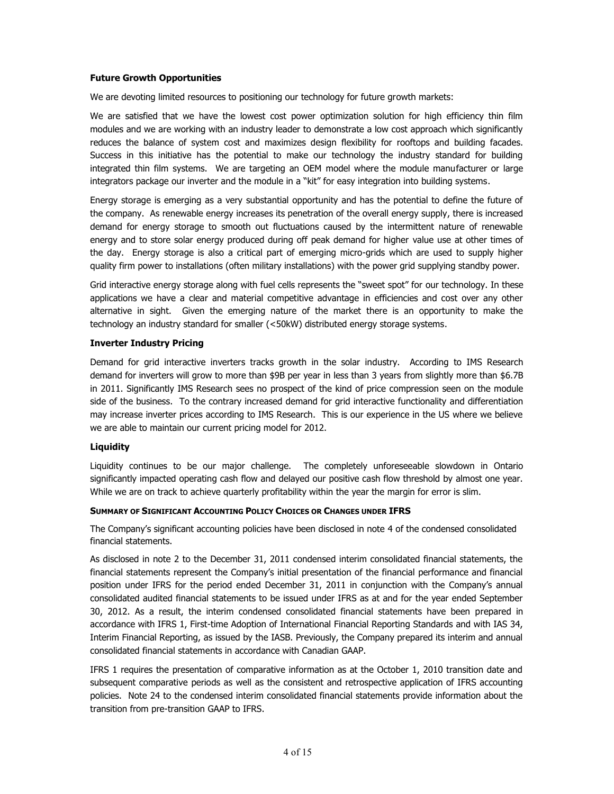## **Future Growth Opportunities**

We are devoting limited resources to positioning our technology for future growth markets:

We are satisfied that we have the lowest cost power optimization solution for high efficiency thin film modules and we are working with an industry leader to demonstrate a low cost approach which significantly reduces the balance of system cost and maximizes design flexibility for rooftops and building facades. Success in this initiative has the potential to make our technology the industry standard for building integrated thin film systems. We are targeting an OEM model where the module manufacturer or large integrators package our inverter and the module in a "kit" for easy integration into building systems.

Energy storage is emerging as a very substantial opportunity and has the potential to define the future of the company. As renewable energy increases its penetration of the overall energy supply, there is increased demand for energy storage to smooth out fluctuations caused by the intermittent nature of renewable energy and to store solar energy produced during off peak demand for higher value use at other times of the day. Energy storage is also a critical part of emerging micro-grids which are used to supply higher quality firm power to installations (often military installations) with the power grid supplying standby power.

Grid interactive energy storage along with fuel cells represents the "sweet spot" for our technology. In these applications we have a clear and material competitive advantage in efficiencies and cost over any other alternative in sight. Given the emerging nature of the market there is an opportunity to make the technology an industry standard for smaller (<50kW) distributed energy storage systems.

## **Inverter Industry Pricing**

Demand for grid interactive inverters tracks growth in the solar industry. According to IMS Research demand for inverters will grow to more than \$9B per year in less than 3 years from slightly more than \$6.7B in 2011. Significantly IMS Research sees no prospect of the kind of price compression seen on the module side of the business. To the contrary increased demand for grid interactive functionality and differentiation may increase inverter prices according to IMS Research. This is our experience in the US where we believe we are able to maintain our current pricing model for 2012.

## **Liquidity**

Liquidity continues to be our major challenge. The completely unforeseeable slowdown in Ontario significantly impacted operating cash flow and delayed our positive cash flow threshold by almost one year. While we are on track to achieve quarterly profitability within the year the margin for error is slim.

#### **SUMMARY OF SIGNIFICANT ACCOUNTING POLICY CHOICES OR CHANGES UNDER IFRS**

The Company's significant accounting policies have been disclosed in note 4 of the condensed consolidated financial statements.

As disclosed in note 2 to the December 31, 2011 condensed interim consolidated financial statements, the financial statements represent the Company's initial presentation of the financial performance and financial position under IFRS for the period ended December 31, 2011 in conjunction with the Company's annual consolidated audited financial statements to be issued under IFRS as at and for the year ended September 30, 2012. As a result, the interim condensed consolidated financial statements have been prepared in accordance with IFRS 1, First-time Adoption of International Financial Reporting Standards and with IAS 34, Interim Financial Reporting, as issued by the IASB. Previously, the Company prepared its interim and annual consolidated financial statements in accordance with Canadian GAAP.

IFRS 1 requires the presentation of comparative information as at the October 1, 2010 transition date and subsequent comparative periods as well as the consistent and retrospective application of IFRS accounting policies. Note 24 to the condensed interim consolidated financial statements provide information about the transition from pre-transition GAAP to IFRS.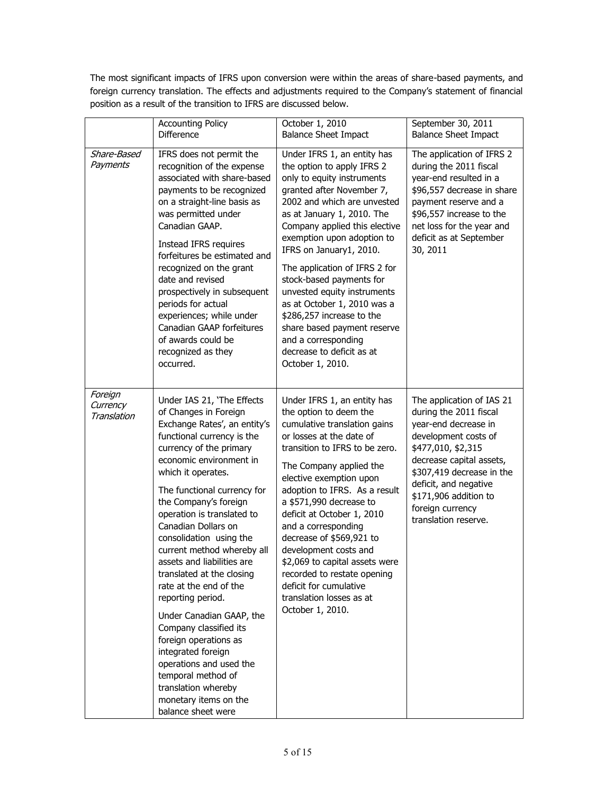The most significant impacts of IFRS upon conversion were within the areas of share-based payments, and foreign currency translation. The effects and adjustments required to the Company's statement of financial position as a result of the transition to IFRS are discussed below.

|                                    | <b>Accounting Policy</b><br><b>Difference</b>                                                                                                                                                                                                                                                                                                                                                                                                                                                                                                                                                                                                                                                             | October 1, 2010<br><b>Balance Sheet Impact</b>                                                                                                                                                                                                                                                                                                                                                                                                                                                                                             | September 30, 2011<br><b>Balance Sheet Impact</b>                                                                                                                                                                                                                                |
|------------------------------------|-----------------------------------------------------------------------------------------------------------------------------------------------------------------------------------------------------------------------------------------------------------------------------------------------------------------------------------------------------------------------------------------------------------------------------------------------------------------------------------------------------------------------------------------------------------------------------------------------------------------------------------------------------------------------------------------------------------|--------------------------------------------------------------------------------------------------------------------------------------------------------------------------------------------------------------------------------------------------------------------------------------------------------------------------------------------------------------------------------------------------------------------------------------------------------------------------------------------------------------------------------------------|----------------------------------------------------------------------------------------------------------------------------------------------------------------------------------------------------------------------------------------------------------------------------------|
| Share-Based<br>Payments            | IFRS does not permit the<br>recognition of the expense<br>associated with share-based<br>payments to be recognized<br>on a straight-line basis as<br>was permitted under<br>Canadian GAAP.<br>Instead IFRS requires<br>forfeitures be estimated and<br>recognized on the grant<br>date and revised<br>prospectively in subsequent<br>periods for actual<br>experiences; while under<br>Canadian GAAP forfeitures<br>of awards could be<br>recognized as they<br>occurred.                                                                                                                                                                                                                                 | Under IFRS 1, an entity has<br>the option to apply IFRS 2<br>only to equity instruments<br>granted after November 7,<br>2002 and which are unvested<br>as at January 1, 2010. The<br>Company applied this elective<br>exemption upon adoption to<br>IFRS on January1, 2010.<br>The application of IFRS 2 for<br>stock-based payments for<br>unvested equity instruments<br>as at October 1, 2010 was a<br>\$286,257 increase to the<br>share based payment reserve<br>and a corresponding<br>decrease to deficit as at<br>October 1, 2010. | The application of IFRS 2<br>during the 2011 fiscal<br>year-end resulted in a<br>\$96,557 decrease in share<br>payment reserve and a<br>\$96,557 increase to the<br>net loss for the year and<br>deficit as at September<br>30, 2011                                             |
| Foreign<br>Currency<br>Translation | Under IAS 21, 'The Effects<br>of Changes in Foreign<br>Exchange Rates', an entity's<br>functional currency is the<br>currency of the primary<br>economic environment in<br>which it operates.<br>The functional currency for<br>the Company's foreign<br>operation is translated to<br>Canadian Dollars on<br>consolidation using the<br>current method whereby all<br>assets and liabilities are<br>translated at the closing<br>rate at the end of the<br>reporting period.<br>Under Canadian GAAP, the<br>Company classified its<br>foreign operations as<br>integrated foreign<br>operations and used the<br>temporal method of<br>translation whereby<br>monetary items on the<br>balance sheet were | Under IFRS 1, an entity has<br>the option to deem the<br>cumulative translation gains<br>or losses at the date of<br>transition to IFRS to be zero.<br>The Company applied the<br>elective exemption upon<br>adoption to IFRS. As a result<br>a \$571,990 decrease to<br>deficit at October 1, 2010<br>and a corresponding<br>decrease of \$569,921 to<br>development costs and<br>\$2,069 to capital assets were<br>recorded to restate opening<br>deficit for cumulative<br>translation losses as at<br>October 1, 2010.                 | The application of IAS 21<br>during the 2011 fiscal<br>year-end decrease in<br>development costs of<br>\$477,010, \$2,315<br>decrease capital assets,<br>\$307,419 decrease in the<br>deficit, and negative<br>\$171,906 addition to<br>foreign currency<br>translation reserve. |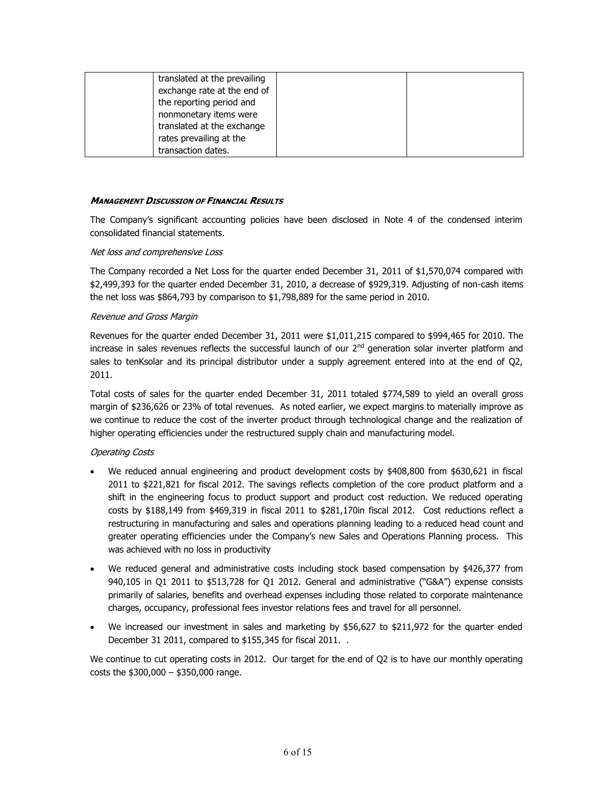| translated at the prevailing |  |
|------------------------------|--|
| exchange rate at the end of  |  |
| the reporting period and     |  |
| nonmonetary items were       |  |
| translated at the exchange   |  |
| rates prevailing at the      |  |
| transaction dates.           |  |

## *MANAGEMENT DISCUSSION OF FINANCIAL RESULTS*

The Company's significant accounting policies have been disclosed in Note 4 of the condensed interim consolidated financial statements.

#### *Net loss and comprehensive Loss*

The Company recorded a Net Loss for the quarter ended December 31, 2011 of \$1,570,074 compared with \$2,499,393 for the quarter ended December 31, 2010, a decrease of \$929,319. Adjusting of non-cash items the net loss was \$864,793 by comparison to \$1,798,889 for the same period in 2010.

## *Revenue and Gross Margin*

Revenues for the quarter ended December 31, 2011 were \$1,011,215 compared to \$994,465 for 2010. The increase in sales revenues reflects the successful launch of our  $2<sup>nd</sup>$  generation solar inverter platform and sales to tenKsolar and its principal distributor under a supply agreement entered into at the end of Q2, 2011.

Total costs of sales for the quarter ended December 31, 2011 totaled \$774,589 to yield an overall gross margin of \$236,626 or 23% of total revenues. As noted earlier, we expect margins to materially improve as we continue to reduce the cost of the inverter product through technological change and the realization of higher operating efficiencies under the restructured supply chain and manufacturing model.

## *Operating Costs*

- We reduced annual engineering and product development costs by \$408,800 from \$630,621 in fiscal 2011 to \$221,821 for fiscal 2012. The savings reflects completion of the core product platform and a shift in the engineering focus to product support and product cost reduction. We reduced operating costs by \$188,149 from \$469,319 in fiscal 2011 to \$281,170in fiscal 2012. Cost reductions reflect a restructuring in manufacturing and sales and operations planning leading to a reduced head count and greater operating efficiencies under the Company's new Sales and Operations Planning process. This was achieved with no loss in productivity
- We reduced general and administrative costs including stock based compensation by \$426,377 from 940,105 in Q1 2011 to \$513,728 for Q1 2012. General and administrative ("G&A") expense consists primarily of salaries, benefits and overhead expenses including those related to corporate maintenance charges, occupancy, professional fees investor relations fees and travel for all personnel.
- We increased our investment in sales and marketing by \$56,627 to \$211,972 for the quarter ended December 31 2011, compared to \$155,345 for fiscal 2011. .

We continue to cut operating costs in 2012. Our target for the end of Q2 is to have our monthly operating costs the \$300,000 – \$350,000 range.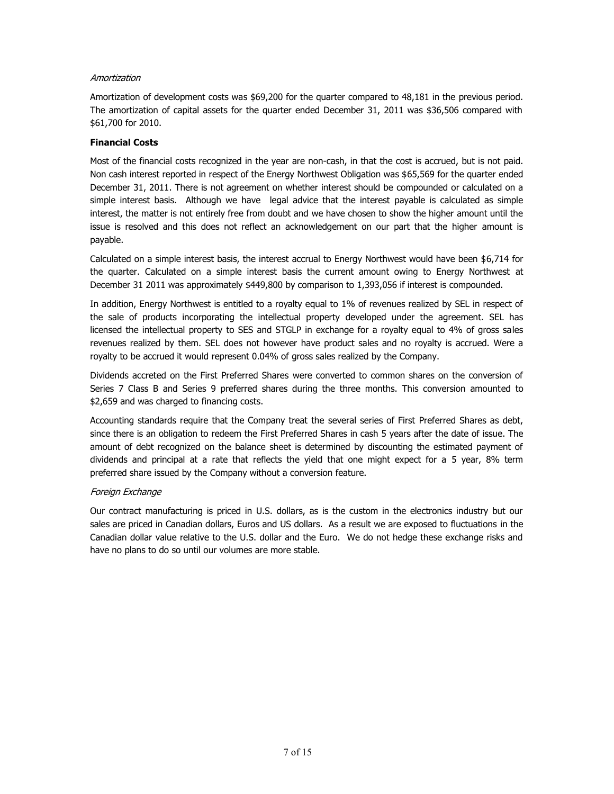# *Amortization*

Amortization of development costs was \$69,200 for the quarter compared to 48,181 in the previous period. The amortization of capital assets for the quarter ended December 31, 2011 was \$36,506 compared with \$61,700 for 2010.

# **Financial Costs**

Most of the financial costs recognized in the year are non-cash, in that the cost is accrued, but is not paid. Non cash interest reported in respect of the Energy Northwest Obligation was \$65,569 for the quarter ended December 31, 2011. There is not agreement on whether interest should be compounded or calculated on a simple interest basis. Although we have legal advice that the interest payable is calculated as simple interest, the matter is not entirely free from doubt and we have chosen to show the higher amount until the issue is resolved and this does not reflect an acknowledgement on our part that the higher amount is payable.

Calculated on a simple interest basis, the interest accrual to Energy Northwest would have been \$6,714 for the quarter. Calculated on a simple interest basis the current amount owing to Energy Northwest at December 31 2011 was approximately \$449,800 by comparison to 1,393,056 if interest is compounded.

In addition, Energy Northwest is entitled to a royalty equal to 1% of revenues realized by SEL in respect of the sale of products incorporating the intellectual property developed under the agreement. SEL has licensed the intellectual property to SES and STGLP in exchange for a royalty equal to 4% of gross sales revenues realized by them. SEL does not however have product sales and no royalty is accrued. Were a royalty to be accrued it would represent 0.04% of gross sales realized by the Company.

Dividends accreted on the First Preferred Shares were converted to common shares on the conversion of Series 7 Class B and Series 9 preferred shares during the three months. This conversion amounted to \$2,659 and was charged to financing costs.

Accounting standards require that the Company treat the several series of First Preferred Shares as debt, since there is an obligation to redeem the First Preferred Shares in cash 5 years after the date of issue. The amount of debt recognized on the balance sheet is determined by discounting the estimated payment of dividends and principal at a rate that reflects the yield that one might expect for a 5 year, 8% term preferred share issued by the Company without a conversion feature.

## *Foreign Exchange*

Our contract manufacturing is priced in U.S. dollars, as is the custom in the electronics industry but our sales are priced in Canadian dollars, Euros and US dollars. As a result we are exposed to fluctuations in the Canadian dollar value relative to the U.S. dollar and the Euro. We do not hedge these exchange risks and have no plans to do so until our volumes are more stable.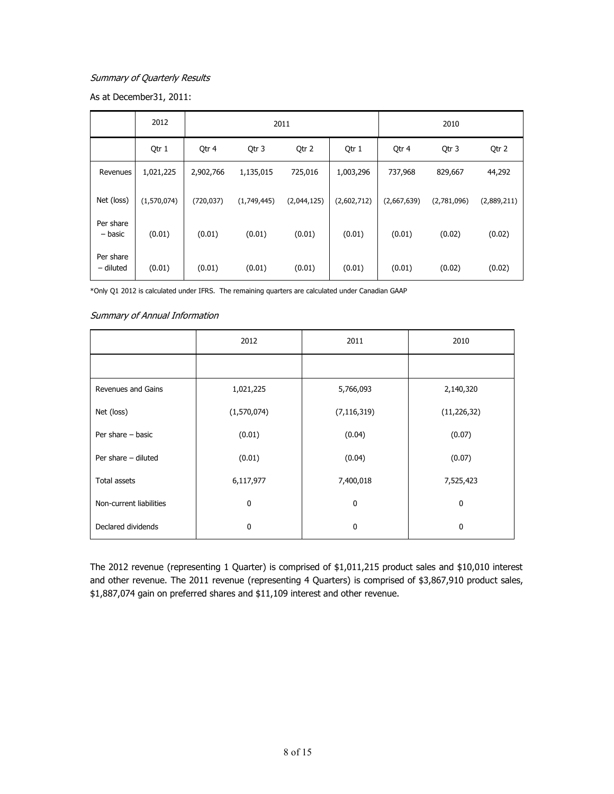# *Summary of Quarterly Results*

As at December31, 2011:

|                        | 2012        | 2011       |             |             | 2010        |             |             |             |
|------------------------|-------------|------------|-------------|-------------|-------------|-------------|-------------|-------------|
|                        | Qtr 1       | Qtr 4      | Qtr 3       | Qtr 2       | Qtr 1       | Qtr 4       | Qtr 3       | Qtr 2       |
| Revenues               | 1,021,225   | 2,902,766  | 1,135,015   | 725,016     | 1,003,296   | 737,968     | 829,667     | 44,292      |
| Net (loss)             | (1,570,074) | (720, 037) | (1,749,445) | (2,044,125) | (2,602,712) | (2,667,639) | (2,781,096) | (2,889,211) |
| Per share<br>– basic   | (0.01)      | (0.01)     | (0.01)      | (0.01)      | (0.01)      | (0.01)      | (0.02)      | (0.02)      |
| Per share<br>- diluted | (0.01)      | (0.01)     | (0.01)      | (0.01)      | (0.01)      | (0.01)      | (0.02)      | (0.02)      |

\*Only Q1 2012 is calculated under IFRS. The remaining quarters are calculated under Canadian GAAP

## *Summary of Annual Information*

|                         | 2012         | 2011          | 2010          |
|-------------------------|--------------|---------------|---------------|
|                         |              |               |               |
| Revenues and Gains      | 1,021,225    | 5,766,093     | 2,140,320     |
| Net (loss)              | (1,570,074)  | (7, 116, 319) | (11, 226, 32) |
| Per share $-$ basic     | (0.01)       | (0.04)        | (0.07)        |
| Per share - diluted     | (0.01)       | (0.04)        | (0.07)        |
| <b>Total assets</b>     | 6,117,977    | 7,400,018     | 7,525,423     |
| Non-current liabilities | $\mathbf{0}$ | 0             | 0             |
| Declared dividends      | $\mathbf{0}$ | 0             | 0             |

The 2012 revenue (representing 1 Quarter) is comprised of \$1,011,215 product sales and \$10,010 interest and other revenue. The 2011 revenue (representing 4 Quarters) is comprised of \$3,867,910 product sales, \$1,887,074 gain on preferred shares and \$11,109 interest and other revenue.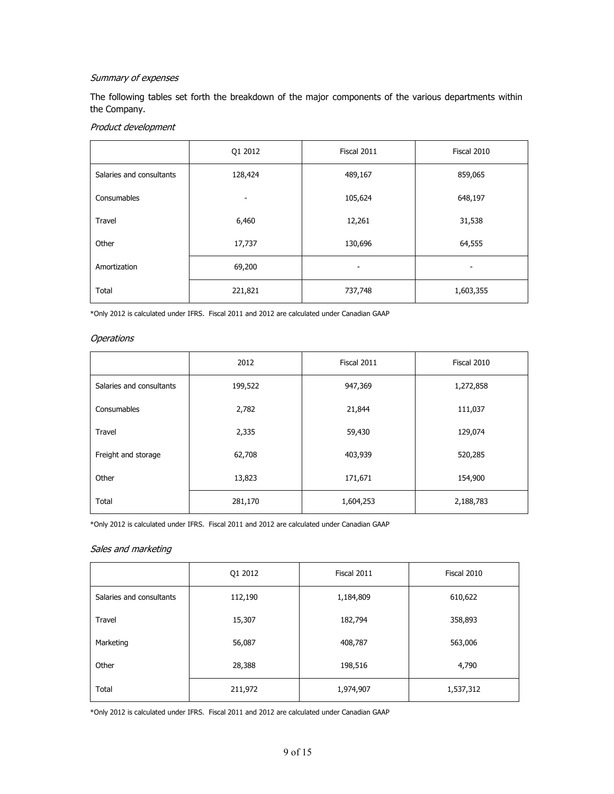# *Summary of expenses*

The following tables set forth the breakdown of the major components of the various departments within the Company.

# *Product development*

|                          | Q1 2012 | Fiscal 2011 | Fiscal 2010 |
|--------------------------|---------|-------------|-------------|
| Salaries and consultants | 128,424 | 489,167     | 859,065     |
| Consumables              | -       | 105,624     | 648,197     |
| Travel                   | 6,460   | 12,261      | 31,538      |
| Other                    | 17,737  | 130,696     | 64,555      |
| Amortization             | 69,200  |             |             |
| Total                    | 221,821 | 737,748     | 1,603,355   |

\*Only 2012 is calculated under IFRS. Fiscal 2011 and 2012 are calculated under Canadian GAAP

#### *Operations*

|                          | 2012    | Fiscal 2011 | Fiscal 2010 |
|--------------------------|---------|-------------|-------------|
| Salaries and consultants | 199,522 | 947,369     | 1,272,858   |
| Consumables              | 2,782   | 21,844      | 111,037     |
| Travel                   | 2,335   | 59,430      | 129,074     |
| Freight and storage      | 62,708  | 403,939     | 520,285     |
| Other                    | 13,823  | 171,671     | 154,900     |
| Total                    | 281,170 | 1,604,253   | 2,188,783   |

\*Only 2012 is calculated under IFRS. Fiscal 2011 and 2012 are calculated under Canadian GAAP

## *Sales and marketing*

|                          | Q1 2012 | Fiscal 2011 | Fiscal 2010 |
|--------------------------|---------|-------------|-------------|
| Salaries and consultants | 112,190 | 1,184,809   | 610,622     |
| Travel                   | 15,307  | 182,794     | 358,893     |
| Marketing                | 56,087  | 408,787     | 563,006     |
| Other                    | 28,388  | 198,516     | 4,790       |
| Total                    | 211,972 | 1,974,907   | 1,537,312   |

\*Only 2012 is calculated under IFRS. Fiscal 2011 and 2012 are calculated under Canadian GAAP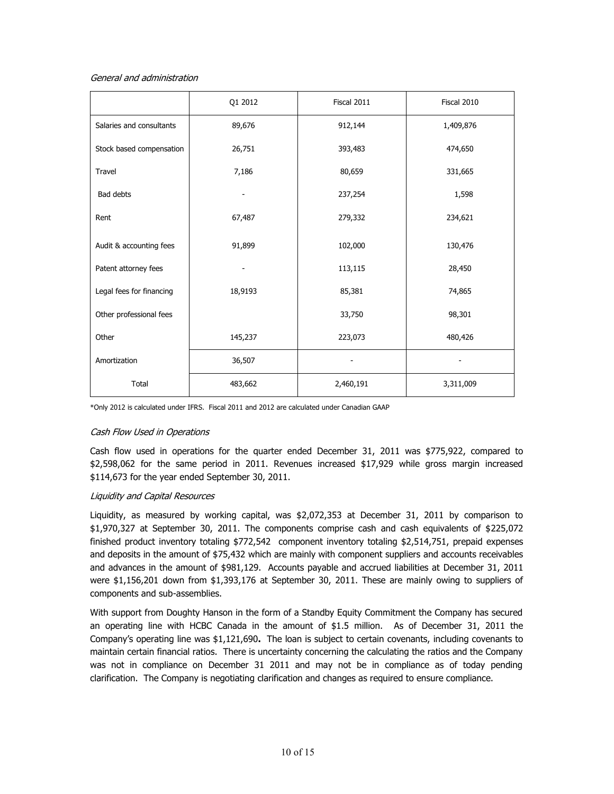## *General and administration*

|                          | Q1 2012 | Fiscal 2011 | Fiscal 2010 |
|--------------------------|---------|-------------|-------------|
| Salaries and consultants | 89,676  | 912,144     | 1,409,876   |
| Stock based compensation | 26,751  | 393,483     | 474,650     |
| <b>Travel</b>            | 7,186   | 80,659      | 331,665     |
| Bad debts                |         | 237,254     | 1,598       |
| Rent                     | 67,487  | 279,332     | 234,621     |
| Audit & accounting fees  | 91,899  | 102,000     | 130,476     |
| Patent attorney fees     |         | 113,115     | 28,450      |
| Legal fees for financing | 18,9193 | 85,381      | 74,865      |
| Other professional fees  |         | 33,750      | 98,301      |
| Other                    | 145,237 | 223,073     | 480,426     |
| Amortization             | 36,507  |             |             |
| Total                    | 483,662 | 2,460,191   | 3,311,009   |

\*Only 2012 is calculated under IFRS. Fiscal 2011 and 2012 are calculated under Canadian GAAP

## *Cash Flow Used in Operations*

Cash flow used in operations for the quarter ended December 31, 2011 was \$775,922, compared to \$2,598,062 for the same period in 2011. Revenues increased \$17,929 while gross margin increased \$114,673 for the year ended September 30, 2011.

# *Liquidity and Capital Resources*

Liquidity, as measured by working capital, was \$2,072,353 at December 31, 2011 by comparison to \$1,970,327 at September 30, 2011. The components comprise cash and cash equivalents of \$225,072 finished product inventory totaling \$772,542 component inventory totaling \$2,514,751, prepaid expenses and deposits in the amount of \$75,432 which are mainly with component suppliers and accounts receivables and advances in the amount of \$981,129. Accounts payable and accrued liabilities at December 31, 2011 were \$1,156,201 down from \$1,393,176 at September 30, 2011. These are mainly owing to suppliers of components and sub-assemblies.

With support from Doughty Hanson in the form of a Standby Equity Commitment the Company has secured an operating line with HCBC Canada in the amount of \$1.5 million. As of December 31, 2011 the Company's operating line was \$1,121,690**.** The loan is subject to certain covenants, including covenants to maintain certain financial ratios. There is uncertainty concerning the calculating the ratios and the Company was not in compliance on December 31 2011 and may not be in compliance as of today pending clarification. The Company is negotiating clarification and changes as required to ensure compliance.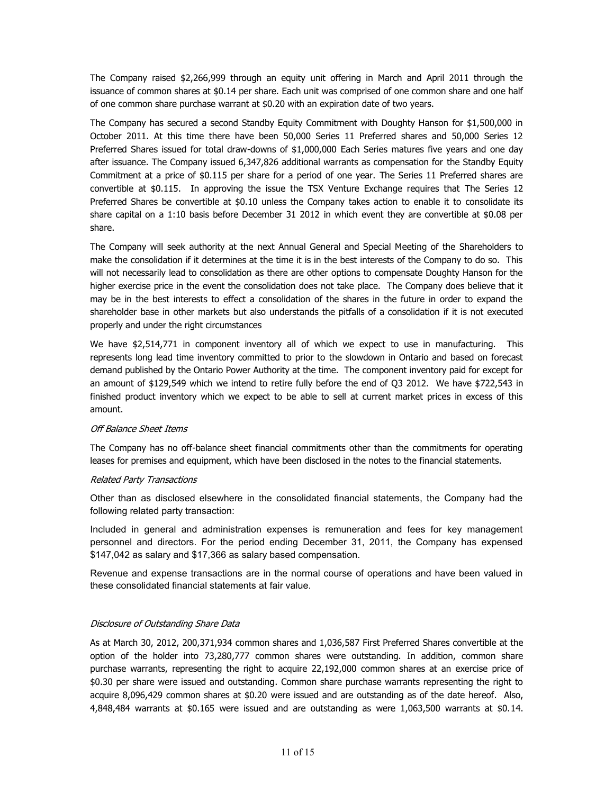The Company raised \$2,266,999 through an equity unit offering in March and April 2011 through the issuance of common shares at \$0.14 per share. Each unit was comprised of one common share and one half of one common share purchase warrant at \$0.20 with an expiration date of two years.

The Company has secured a second Standby Equity Commitment with Doughty Hanson for \$1,500,000 in October 2011. At this time there have been 50,000 Series 11 Preferred shares and 50,000 Series 12 Preferred Shares issued for total draw-downs of \$1,000,000 Each Series matures five years and one day after issuance. The Company issued 6,347,826 additional warrants as compensation for the Standby Equity Commitment at a price of \$0.115 per share for a period of one year. The Series 11 Preferred shares are convertible at \$0.115. In approving the issue the TSX Venture Exchange requires that The Series 12 Preferred Shares be convertible at \$0.10 unless the Company takes action to enable it to consolidate its share capital on a 1:10 basis before December 31 2012 in which event they are convertible at \$0.08 per share.

The Company will seek authority at the next Annual General and Special Meeting of the Shareholders to make the consolidation if it determines at the time it is in the best interests of the Company to do so. This will not necessarily lead to consolidation as there are other options to compensate Doughty Hanson for the higher exercise price in the event the consolidation does not take place. The Company does believe that it may be in the best interests to effect a consolidation of the shares in the future in order to expand the shareholder base in other markets but also understands the pitfalls of a consolidation if it is not executed properly and under the right circumstances

We have \$2,514,771 in component inventory all of which we expect to use in manufacturing. This represents long lead time inventory committed to prior to the slowdown in Ontario and based on forecast demand published by the Ontario Power Authority at the time. The component inventory paid for except for an amount of \$129,549 which we intend to retire fully before the end of Q3 2012. We have \$722,543 in finished product inventory which we expect to be able to sell at current market prices in excess of this amount.

#### *Off Balance Sheet Items*

The Company has no off-balance sheet financial commitments other than the commitments for operating leases for premises and equipment, which have been disclosed in the notes to the financial statements.

#### *Related Party Transactions*

Other than as disclosed elsewhere in the consolidated financial statements, the Company had the following related party transaction:

Included in general and administration expenses is remuneration and fees for key management personnel and directors. For the period ending December 31, 2011, the Company has expensed \$147,042 as salary and \$17,366 as salary based compensation.

Revenue and expense transactions are in the normal course of operations and have been valued in these consolidated financial statements at fair value.

## *Disclosure of Outstanding Share Data*

As at March 30, 2012, 200,371,934 common shares and 1,036,587 First Preferred Shares convertible at the option of the holder into 73,280,777 common shares were outstanding. In addition, common share purchase warrants, representing the right to acquire 22,192,000 common shares at an exercise price of \$0.30 per share were issued and outstanding. Common share purchase warrants representing the right to acquire 8,096,429 common shares at \$0.20 were issued and are outstanding as of the date hereof. Also, 4,848,484 warrants at \$0.165 were issued and are outstanding as were 1,063,500 warrants at \$0.14.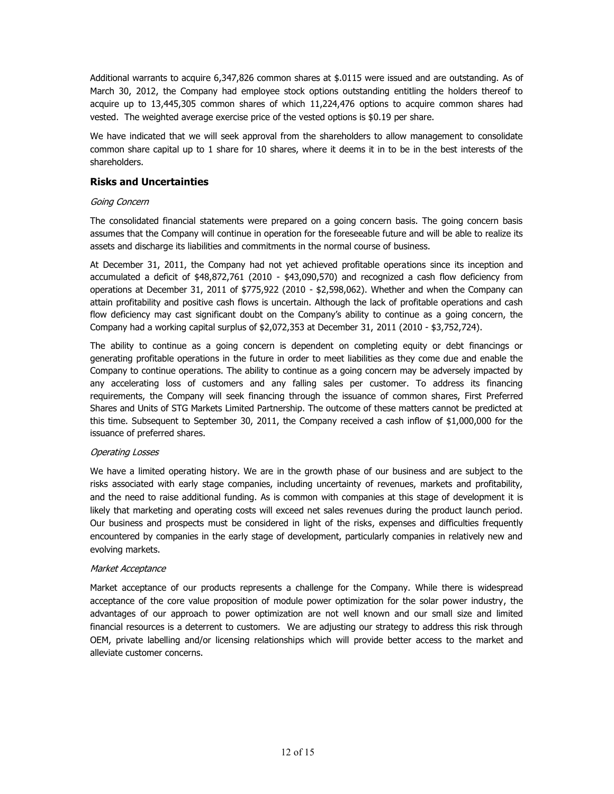Additional warrants to acquire 6,347,826 common shares at \$.0115 were issued and are outstanding. As of March 30, 2012, the Company had employee stock options outstanding entitling the holders thereof to acquire up to 13,445,305 common shares of which 11,224,476 options to acquire common shares had vested. The weighted average exercise price of the vested options is \$0.19 per share.

We have indicated that we will seek approval from the shareholders to allow management to consolidate common share capital up to 1 share for 10 shares, where it deems it in to be in the best interests of the shareholders.

# **Risks and Uncertainties**

## *Going Concern*

The consolidated financial statements were prepared on a going concern basis. The going concern basis assumes that the Company will continue in operation for the foreseeable future and will be able to realize its assets and discharge its liabilities and commitments in the normal course of business.

At December 31, 2011, the Company had not yet achieved profitable operations since its inception and accumulated a deficit of \$48,872,761 (2010 - \$43,090,570) and recognized a cash flow deficiency from operations at December 31, 2011 of \$775,922 (2010 - \$2,598,062). Whether and when the Company can attain profitability and positive cash flows is uncertain. Although the lack of profitable operations and cash flow deficiency may cast significant doubt on the Company's ability to continue as a going concern, the Company had a working capital surplus of \$2,072,353 at December 31, 2011 (2010 - \$3,752,724).

The ability to continue as a going concern is dependent on completing equity or debt financings or generating profitable operations in the future in order to meet liabilities as they come due and enable the Company to continue operations. The ability to continue as a going concern may be adversely impacted by any accelerating loss of customers and any falling sales per customer. To address its financing requirements, the Company will seek financing through the issuance of common shares, First Preferred Shares and Units of STG Markets Limited Partnership. The outcome of these matters cannot be predicted at this time. Subsequent to September 30, 2011, the Company received a cash inflow of \$1,000,000 for the issuance of preferred shares.

## *Operating Losses*

We have a limited operating history. We are in the growth phase of our business and are subject to the risks associated with early stage companies, including uncertainty of revenues, markets and profitability, and the need to raise additional funding. As is common with companies at this stage of development it is likely that marketing and operating costs will exceed net sales revenues during the product launch period. Our business and prospects must be considered in light of the risks, expenses and difficulties frequently encountered by companies in the early stage of development, particularly companies in relatively new and evolving markets.

## *Market Acceptance*

Market acceptance of our products represents a challenge for the Company. While there is widespread acceptance of the core value proposition of module power optimization for the solar power industry, the advantages of our approach to power optimization are not well known and our small size and limited financial resources is a deterrent to customers. We are adjusting our strategy to address this risk through OEM, private labelling and/or licensing relationships which will provide better access to the market and alleviate customer concerns.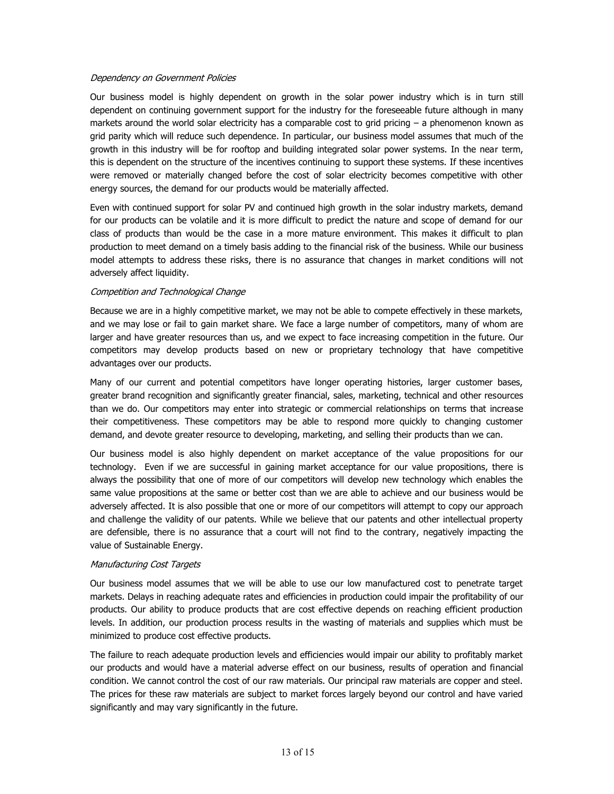## *Dependency on Government Policies*

Our business model is highly dependent on growth in the solar power industry which is in turn still dependent on continuing government support for the industry for the foreseeable future although in many markets around the world solar electricity has a comparable cost to grid pricing – a phenomenon known as grid parity which will reduce such dependence. In particular, our business model assumes that much of the growth in this industry will be for rooftop and building integrated solar power systems. In the near term, this is dependent on the structure of the incentives continuing to support these systems. If these incentives were removed or materially changed before the cost of solar electricity becomes competitive with other energy sources, the demand for our products would be materially affected.

Even with continued support for solar PV and continued high growth in the solar industry markets, demand for our products can be volatile and it is more difficult to predict the nature and scope of demand for our class of products than would be the case in a more mature environment. This makes it difficult to plan production to meet demand on a timely basis adding to the financial risk of the business. While our business model attempts to address these risks, there is no assurance that changes in market conditions will not adversely affect liquidity.

## *Competition and Technological Change*

Because we are in a highly competitive market, we may not be able to compete effectively in these markets, and we may lose or fail to gain market share. We face a large number of competitors, many of whom are larger and have greater resources than us, and we expect to face increasing competition in the future. Our competitors may develop products based on new or proprietary technology that have competitive advantages over our products.

Many of our current and potential competitors have longer operating histories, larger customer bases, greater brand recognition and significantly greater financial, sales, marketing, technical and other resources than we do. Our competitors may enter into strategic or commercial relationships on terms that increase their competitiveness. These competitors may be able to respond more quickly to changing customer demand, and devote greater resource to developing, marketing, and selling their products than we can.

Our business model is also highly dependent on market acceptance of the value propositions for our technology. Even if we are successful in gaining market acceptance for our value propositions, there is always the possibility that one of more of our competitors will develop new technology which enables the same value propositions at the same or better cost than we are able to achieve and our business would be adversely affected. It is also possible that one or more of our competitors will attempt to copy our approach and challenge the validity of our patents. While we believe that our patents and other intellectual property are defensible, there is no assurance that a court will not find to the contrary, negatively impacting the value of Sustainable Energy.

## *Manufacturing Cost Targets*

Our business model assumes that we will be able to use our low manufactured cost to penetrate target markets. Delays in reaching adequate rates and efficiencies in production could impair the profitability of our products. Our ability to produce products that are cost effective depends on reaching efficient production levels. In addition, our production process results in the wasting of materials and supplies which must be minimized to produce cost effective products.

The failure to reach adequate production levels and efficiencies would impair our ability to profitably market our products and would have a material adverse effect on our business, results of operation and financial condition. We cannot control the cost of our raw materials. Our principal raw materials are copper and steel. The prices for these raw materials are subject to market forces largely beyond our control and have varied significantly and may vary significantly in the future.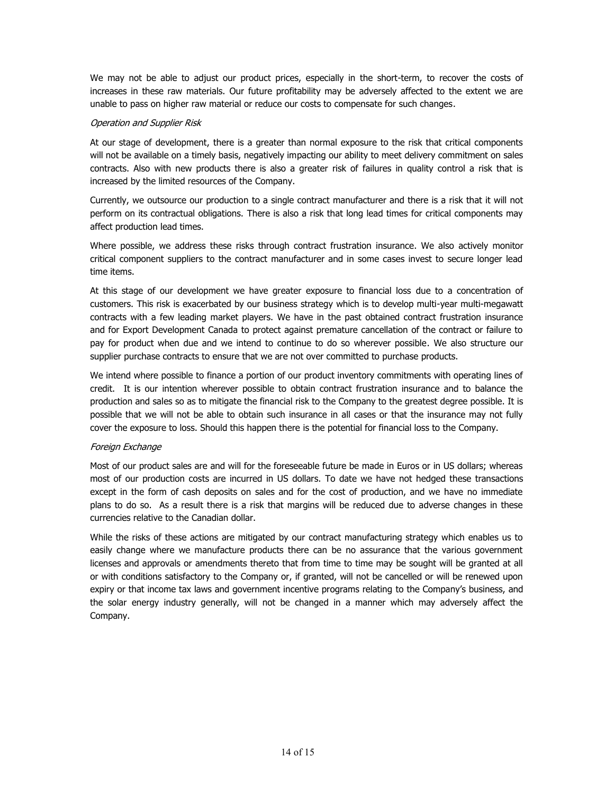We may not be able to adjust our product prices, especially in the short-term, to recover the costs of increases in these raw materials. Our future profitability may be adversely affected to the extent we are unable to pass on higher raw material or reduce our costs to compensate for such changes.

## *Operation and Supplier Risk*

At our stage of development, there is a greater than normal exposure to the risk that critical components will not be available on a timely basis, negatively impacting our ability to meet delivery commitment on sales contracts. Also with new products there is also a greater risk of failures in quality control a risk that is increased by the limited resources of the Company.

Currently, we outsource our production to a single contract manufacturer and there is a risk that it will not perform on its contractual obligations. There is also a risk that long lead times for critical components may affect production lead times.

Where possible, we address these risks through contract frustration insurance. We also actively monitor critical component suppliers to the contract manufacturer and in some cases invest to secure longer lead time items.

At this stage of our development we have greater exposure to financial loss due to a concentration of customers. This risk is exacerbated by our business strategy which is to develop multi-year multi-megawatt contracts with a few leading market players. We have in the past obtained contract frustration insurance and for Export Development Canada to protect against premature cancellation of the contract or failure to pay for product when due and we intend to continue to do so wherever possible. We also structure our supplier purchase contracts to ensure that we are not over committed to purchase products.

We intend where possible to finance a portion of our product inventory commitments with operating lines of credit. It is our intention wherever possible to obtain contract frustration insurance and to balance the production and sales so as to mitigate the financial risk to the Company to the greatest degree possible. It is possible that we will not be able to obtain such insurance in all cases or that the insurance may not fully cover the exposure to loss. Should this happen there is the potential for financial loss to the Company.

## *Foreign Exchange*

Most of our product sales are and will for the foreseeable future be made in Euros or in US dollars; whereas most of our production costs are incurred in US dollars. To date we have not hedged these transactions except in the form of cash deposits on sales and for the cost of production, and we have no immediate plans to do so. As a result there is a risk that margins will be reduced due to adverse changes in these currencies relative to the Canadian dollar.

While the risks of these actions are mitigated by our contract manufacturing strategy which enables us to easily change where we manufacture products there can be no assurance that the various government licenses and approvals or amendments thereto that from time to time may be sought will be granted at all or with conditions satisfactory to the Company or, if granted, will not be cancelled or will be renewed upon expiry or that income tax laws and government incentive programs relating to the Company's business, and the solar energy industry generally, will not be changed in a manner which may adversely affect the Company.